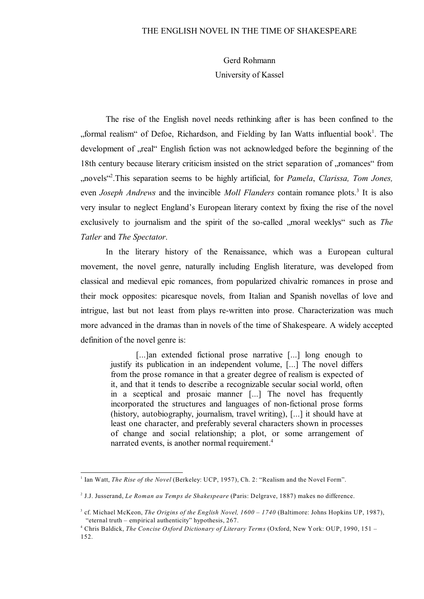Gerd Rohmann University of Kassel

The rise of the English novel needs rethinking after is has been confined to the "formal realism" of Defoe, Richardson, and Fielding by Ian Watts influential book<sup>1</sup>. The development of "real" English fiction was not acknowledged before the beginning of the 18th century because literary criticism insisted on the strict separation of "romances" from "novels" .This separation seems to be highly artificial, for *Pamela*, *Clarissa, Tom Jones,* <sup>2</sup> even *Joseph Andrews* and the invincible *Moll Flanders* contain romance plots.<sup>3</sup> It is also very insular to neglect England's European literary context by fixing the rise of the novel exclusively to journalism and the spirit of the so-called "moral weeklys" such as *The Tatler* and *The Spectator*.

In the literary history of the Renaissance, which was a European cultural movement, the novel genre, naturally including English literature, was developed from classical and medieval epic romances, from popularized chivalric romances in prose and their mock opposites: picaresque novels, from Italian and Spanish novellas of love and intrigue, last but not least from plays re-written into prose. Characterization was much more advanced in the dramas than in novels of the time of Shakespeare. A widely accepted definition of the novel genre is:

[...]an extended fictional prose narrative [...] long enough to justify its publication in an independent volume, [...] The novel differs from the prose romance in that a greater degree of realism is expected of it, and that it tends to describe a recognizable secular social world, often in a sceptical and prosaic manner [...] The novel has frequently incorporated the structures and languages of non-fictional prose forms (history, autobiography, journalism, travel writing), [...] it should have at least one character, and preferably several characters shown in processes of change and social relationship; a plot, or some arrangement of narrated events, is another normal requirement.<sup>4</sup>

<sup>&</sup>lt;sup>1</sup> Ian Watt, *The Rise of the Novel* (Berkeley: UCP, 1957), Ch. 2: "Realism and the Novel Form".

<sup>&</sup>lt;sup>2</sup> J.J. Jusserand, *Le Roman au Temps de Shakespeare* (Paris: Delgrave, 1887) makes no difference.

<sup>&</sup>lt;sup>3</sup> cf. Michael McKeon, *The Origins of the English Novel, 1600 – 1740* (Baltimore: Johns Hopkins UP, 1987), "eternal truth – empirical authenticity" hypothesis, 267.

Chris Baldick, *The Concise Oxford Dictionary of Literary Terms* (Oxford, New York: OUP, 1990, 151 – <sup>4</sup> 152.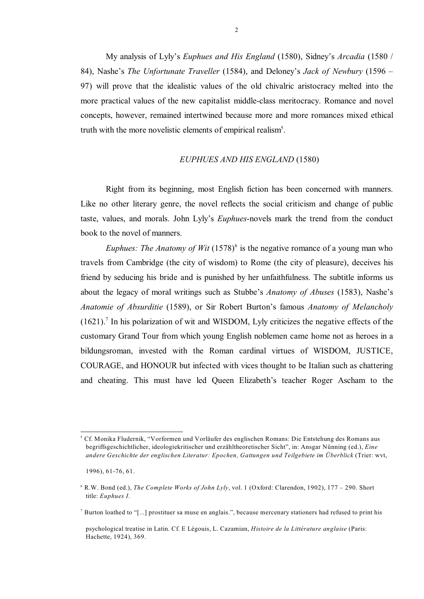My analysis of Lyly's *Euphues and His England* (1580), Sidney's *Arcadia* (1580 / 84), Nashe's *The Unfortunate Traveller* (1584), and Deloney's *Jack of Newbury* (1596 – 97) will prove that the idealistic values of the old chivalric aristocracy melted into the more practical values of the new capitalist middle-class meritocracy. Romance and novel concepts, however, remained intertwined because more and more romances mixed ethical truth with the more novelistic elements of empirical realism<sup>5</sup>.

## *EUPHUES AND HIS ENGLAND* (1580)

Right from its beginning, most English fiction has been concerned with manners. Like no other literary genre, the novel reflects the social criticism and change of public taste, values, and morals. John Lyly's *Euphues*-novels mark the trend from the conduct book to the novel of manners.

*Euphues: The Anatomy of Wit* (1578)<sup>6</sup> is the negative romance of a young man who travels from Cambridge (the city of wisdom) to Rome (the city of pleasure), deceives his friend by seducing his bride and is punished by her unfaithfulness. The subtitle informs us about the legacy of moral writings such as Stubbe's *Anatomy of Abuses* (1583), Nashe's *Anatomie of Absurditie* (1589), or Sir Robert Burton's famous *Anatomy of Melancholy*  $(1621)$ . In his polarization of wit and WISDOM, Lyly criticizes the negative effects of the customary Grand Tour from which young English noblemen came home not as heroes in a bildungsroman, invested with the Roman cardinal virtues of WISDOM, JUSTICE, COURAGE, and HONOUR but infected with vices thought to be Italian such as chattering and cheating. This must have led Queen Elizabeth's teacher Roger Ascham to the

Cf. Monika Fludernik, "Vorformen und Vorläufer des englischen Romans: Die Entstehung des Romans aus <sup>5</sup> begriffsgeschichtlicher, ideologiekritischer und erzähltheoretischer Sicht", in: Ansgar Nünning (ed.), *Eine andere Geschichte der englischen Literatur: Epochen, Gattungen und Teilgebiete im Überblick* (Trier: wvt,

 <sup>1996), 61-76, 61.</sup>

<sup>&</sup>lt;sup>6</sup> R.W. Bond (ed.), *The Complete Works of John Lyly*, vol. 1 (Oxford: Clarendon, 1902), 177 – 290. Short title: *Euphues I*.

<sup>&</sup>lt;sup>7</sup> Burton loathed to "[...] prostituer sa muse en anglais.", because mercenary stationers had refused to print his

psychological treatise in Latin. Cf. E Légouis, L. Cazamian, *Histoire de la Littérature anglaise* (Paris: Hachette, 1924), 369.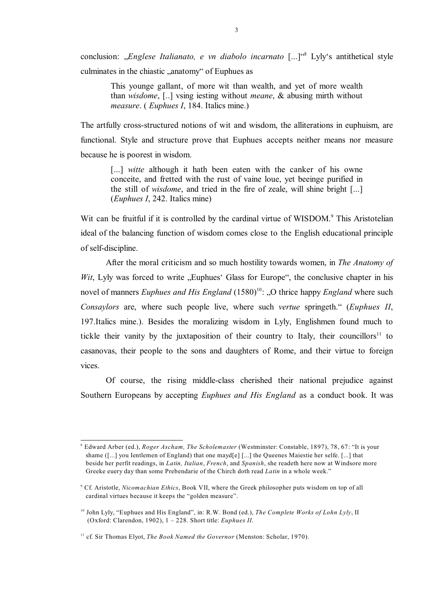conclusion: "*Englese Italianato, e vn diabolo incarnato* [...]<sup>"8</sup> Lyly's antithetical style culminates in the chiastic "anatomy" of Euphues as

This younge gallant, of more wit than wealth, and yet of more wealth than *wisdome*, [..] vsing iesting without *meane*, & abusing mirth without *measure*. ( *Euphues I*, 184. Italics mine.)

The artfully cross-structured notions of wit and wisdom, the alliterations in euphuism, are functional. Style and structure prove that Euphues accepts neither means nor measure because he is poorest in wisdom.

[...] *witte* although it hath been eaten with the canker of his owne conceite, and fretted with the rust of vaine loue, yet beeinge purified in the still of *wisdome*, and tried in the fire of zeale, will shine bright [...] (*Euphues I*, 242. Italics mine)

Wit can be fruitful if it is controlled by the cardinal virtue of WISDOM.<sup>9</sup> This Aristotelian ideal of the balancing function of wisdom comes close to the English educational principle of self-discipline.

After the moral criticism and so much hostility towards women, in *The Anatomy of Wit*, Lyly was forced to write  $\mu$ Euphues' Glass for Europe", the conclusive chapter in his novel of manners *Euphues and His England* (1580)<sup>10</sup>; "O thrice happy *England* where such *Consaylors* are, where such people live, where such *vertue* springeth." (*Euphues II*, 197.Italics mine.). Besides the moralizing wisdom in Lyly, Englishmen found much to tickle their vanity by the juxtaposition of their country to Italy, their councillors<sup>11</sup> to casanovas, their people to the sons and daughters of Rome, and their virtue to foreign vices.

Of course, the rising middle-class cherished their national prejudice against Southern Europeans by accepting *Euphues and His England* as a conduct book. It was

Edward Arber (ed.), *Roger Ascham, The Scholemaster* (Westminster: Constable, 1897), 78, 67: "It is your <sup>8</sup> shame ([...] you Ientlemen of England) that one mayd[e] [...] the Queenes Maiestie her selfe. [...] that beside her perfit readings, in *Latin, Italian*, *French*, and *Spanish*, she readeth here now at Windsore more Greeke euery day than some Prebendarie of the Chirch doth read *Latin* in a whole week."

Cf. Aristotle, *Nicomachian Ethics*, Book VII, where the Greek philosopher puts wisdom on top of all <sup>9</sup> cardinal virtues because it keeps the "golden measure".

 $^{10}$  John Lyly, "Euphues and His England", in: R.W. Bond (ed.), *The Complete Works of Lohn Lyly*, II (Oxford: Clarendon, 1902), 1 – 228. Short title: *Euphues II*.

<sup>&</sup>lt;sup>11</sup> cf. Sir Thomas Elyot, *The Book Named the Governor* (Menston: Scholar, 1970).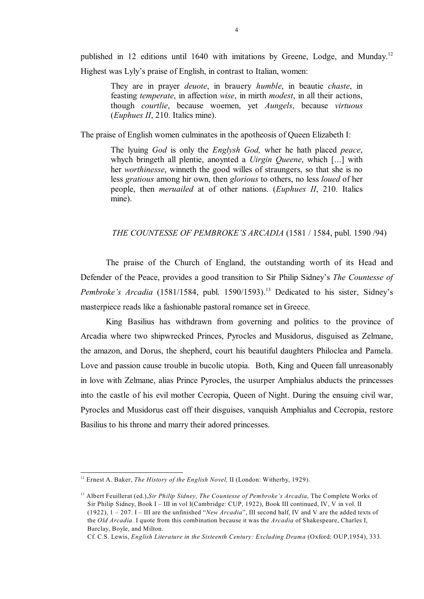published in 12 editions until 1640 with imitations by Greene, Lodge, and Munday.<sup>12</sup> Highest was Lyly's praise of English, in contrast to Italian, women:

They are in prayer *deuote*, in brauery *humble*, in beautie *chaste*, in feasting *temperate*, in affection *wise*, in mirth *modest*, in all their actions, though *courtlie*, because woemen, yet *Aungels*, because *virtuous* (*Euphues II*, 210. Italics mine).

The praise of English women culminates in the apotheosis of Queen Elizabeth I:

The lyuing *God* is only the *Englysh God,* wher he hath placed *peace*, whych bringeth all plentie, anoynted a *Uirgin Queene*, which [...] with her *worthinesse*, winneth the good willes of straungers, so that she is no less *gratious* among hir own, then *glorious* to others, no less *loued* of her people, then *meruailed* at of other nations. (*Euphues II*, 210. Italics mine).

## *THE COUNTESSE OF PEMBROKE'S ARCADIA* (1581 / 1584, publ. 1590 /94)

The praise of the Church of England, the outstanding worth of its Head and Defender of the Peace, provides a good transition to Sir Philip Sidney's *The Countesse of Pembroke's Arcadia* (1581/1584, publ. 1590/1593).<sup>13</sup> Dedicated to his sister, Sidney's masterpiece reads like a fashionable pastoral romance set in Greece.

King Basilius has withdrawn from governing and politics to the province of Arcadia where two shipwrecked Princes, Pyrocles and Musidorus, disguised as Zelmane, the amazon, and Dorus, the shepherd, court his beautiful daughters Philoclea and Pamela. Love and passion cause trouble in bucolic utopia. Both, King and Queen fall unreasonably in love with Zelmane, alias Prince Pyrocles, the usurper Amphialus abducts the princesses into the castle of his evil mother Cecropia, Queen of Night. During the ensuing civil war, Pyrocles and Musidorus cast off their disguises, vanquish Amphialus and Cecropia, restore Basilius to his throne and marry their adored princesses.

<sup>&</sup>lt;sup>12</sup> Ernest A. Baker, *The History of the English Novel*, II (London: Witherby, 1929).

<sup>&</sup>lt;sup>13</sup> Albert Feuillerat (ed.),*Sir Philip Sidney, The Countesse of Pembroke's Arcadia*, The Complete Works of Sir Philip Sidney, Book I – III in vol I(Cambridge: CUP, 1922), Book III continued, IV, V in vol. II (1922), 1 – 207. I – III are the unfinished "*New Arcadia*", III second half, IV and V are the added texts of the *Old Arcadia.* I quote from this combination because it was the *Arcadia* of Shakespeare, Charles I, Barclay, Boyle, and Milton.

Cf. C.S. Lewis, *English Literature in the Sixteenth Century: Excluding Drama* (Oxford: OUP,1954), 333.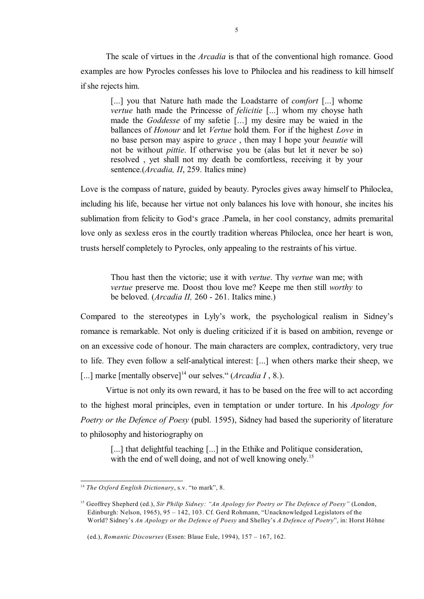The scale of virtues in the *Arcadia* is that of the conventional high romance. Good examples are how Pyrocles confesses his love to Philoclea and his readiness to kill himself if she rejects him.

[...] you that Nature hath made the Loadstarre of *comfort* [...] whome *vertue* hath made the Princesse of *felicitie* [...] whom my choyse hath made the *Goddesse* of my safetie [...] my desire may be waied in the ballances of *Honour* and let *Vertue* hold them. For if the highest *Love* in no base person may aspire to *grace* , then may I hope your *beautie* will not be without *pittie*. If otherwise you be (alas but let it never be so) resolved , yet shall not my death be comfortless, receiving it by your sentence.(*Arcadia, II*, 259. Italics mine)

Love is the compass of nature, guided by beauty. Pyrocles gives away himself to Philoclea, including his life, because her virtue not only balances his love with honour, she incites his sublimation from felicity to God's grace .Pamela, in her cool constancy, admits premarital love only as sexless eros in the courtly tradition whereas Philoclea, once her heart is won, trusts herself completely to Pyrocles, only appealing to the restraints of his virtue.

Thou hast then the victorie; use it with *vertue*. Thy *vertue* wan me; with *vertue* preserve me. Doost thou love me? Keepe me then still *worthy* to be beloved. (*Arcadia II,* 260 - 261. Italics mine.)

Compared to the stereotypes in Lyly's work, the psychological realism in Sidney's romance is remarkable. Not only is dueling criticized if it is based on ambition, revenge or on an excessive code of honour. The main characters are complex, contradictory, very true to life. They even follow a self-analytical interest: [...] when others marke their sheep, we [...] marke [mentally observe]<sup>14</sup> our selves." (*Arcadia I*, 8.).

Virtue is not only its own reward, it has to be based on the free will to act according to the highest moral principles, even in temptation or under torture. In his *Apology for Poetry or the Defence of Poesy* (publ. 1595), Sidney had based the superiority of literature to philosophy and historiography on

[...] that delightful teaching [...] in the Ethike and Politique consideration, with the end of well doing, and not of well knowing onely.<sup>15</sup>

<sup>&</sup>lt;sup>14</sup> *The Oxford English Dictionary*, s.v. "to mark", 8.

<sup>&</sup>lt;sup>15</sup> Geoffrey Shepherd (ed.), Sir Philip Sidney: "An Apology for Poetry or The Defence of Poesy" (London, Edinburgh: Nelson, 1965), 95 – 142, 103. Cf. Gerd Rohmann, "Unacknowledged Legislators of the World? Sidney's *An Apology or the Defence of Poesy* and Shelley's *A Defence of Poetry*", in: Horst Höhne

 <sup>(</sup>ed.), *Romantic Discourses* (Essen: Blaue Eule, 1994), 157 – 167, 162.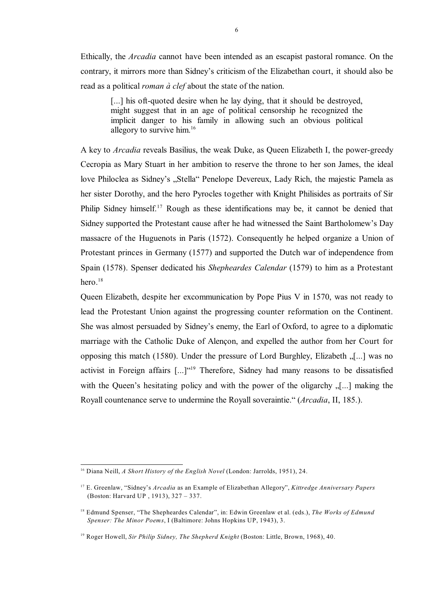Ethically, the *Arcadia* cannot have been intended as an escapist pastoral romance. On the contrary, it mirrors more than Sidney's criticism of the Elizabethan court, it should also be read as a political *roman à clef* about the state of the nation.

[...] his oft-quoted desire when he lay dying, that it should be destroyed, might suggest that in an age of political censorship he recognized the implicit danger to his family in allowing such an obvious political allegory to survive him.<sup>16</sup>

A key to *Arcadia* reveals Basilius, the weak Duke, as Queen Elizabeth I, the power-greedy Cecropia as Mary Stuart in her ambition to reserve the throne to her son James, the ideal love Philoclea as Sidney's "Stella" Penelope Devereux, Lady Rich, the majestic Pamela as her sister Dorothy, and the hero Pyrocles together with Knight Philisides as portraits of Sir Philip Sidney himself.<sup>17</sup> Rough as these identifications may be, it cannot be denied that Sidney supported the Protestant cause after he had witnessed the Saint Bartholomew's Day massacre of the Huguenots in Paris (1572). Consequently he helped organize a Union of Protestant princes in Germany (1577) and supported the Dutch war of independence from Spain (1578). Spenser dedicated his *Shepheardes Calendar* (1579) to him as a Protestant hero. $18$ 

Queen Elizabeth, despite her excommunication by Pope Pius V in 1570, was not ready to lead the Protestant Union against the progressing counter reformation on the Continent. She was almost persuaded by Sidney's enemy, the Earl of Oxford, to agree to a diplomatic marriage with the Catholic Duke of Alençon, and expelled the author from her Court for opposing this match (1580). Under the pressure of Lord Burghley, Elizabeth "[...] was no activist in Foreign affairs  $[\dots]^{(19)}$  Therefore, Sidney had many reasons to be dissatisfied with the Queen's hesitating policy and with the power of the oligarchy  $\lbrack$ ...] making the Royall countenance serve to undermine the Royall soveraintie." (*Arcadia*, II, 185.).

<sup>&</sup>lt;sup>16</sup> Diana Neill, *A Short History of the English Novel* (London: Jarrolds, 1951), 24.

E. Greenlaw, "Sidney's *Arcadia* as an Example of Elizabethan Allegory", *Kittredge Anniversary Papers* <sup>17</sup> (Boston: Harvard UP , 1913), 327 – 337.

<sup>&</sup>lt;sup>18</sup> Edmund Spenser, "The Shepheardes Calendar", in: Edwin Greenlaw et al. (eds.), *The Works of Edmund Spenser: The Minor Poems*, I (Baltimore: Johns Hopkins UP, 1943), 3.

<sup>&</sup>lt;sup>19</sup> Roger Howell, *Sir Philip Sidney, The Shepherd Knight* (Boston: Little, Brown, 1968), 40.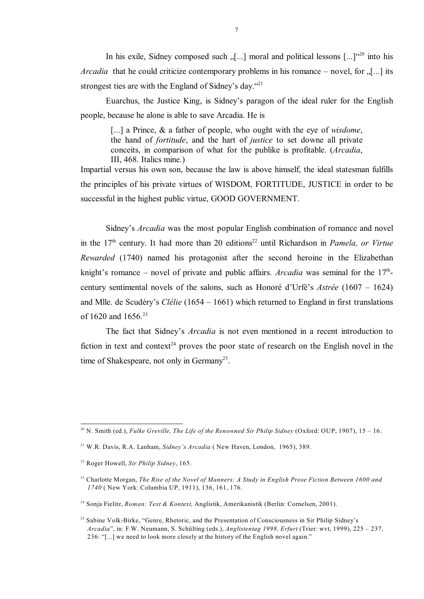In his exile, Sidney composed such  $\lbrack ... \rbrack$  moral and political lessons  $\lbrack ... \rbrack^{(20)}$  into his *Arcadia* that he could criticize contemporary problems in his romance – novel, for "[...] its strongest ties are with the England of Sidney's day."<sup>21</sup>

Euarchus, the Justice King, is Sidney's paragon of the ideal ruler for the English people, because he alone is able to save Arcadia. He is

[...] a Prince, & a father of people, who ought with the eye of *wisdome*, the hand of *fortitude*, and the hart of *justice* to set downe all private conceits, in comparison of what for the publike is profitable. (*Arcadia*, III, 468. Italics mine.)

Impartial versus his own son, because the law is above himself, the ideal statesman fulfills the principles of his private virtues of WISDOM, FORTITUDE, JUSTICE in order to be successful in the highest public virtue, GOOD GOVERNMENT.

Sidney's *Arcadia* was the most popular English combination of romance and novel in the 17<sup>th</sup> century. It had more than 20 editions<sup>22</sup> until Richardson in *Pamela, or Virtue Rewarded* (1740) named his protagonist after the second heroine in the Elizabethan knight's romance – novel of private and public affairs. *Arcadia* was seminal for the 17<sup>th</sup>century sentimental novels of the salons, such as Honoré d'Urfé's *Astrée* (1607 – 1624) and Mlle. de Scudéry's *Clélie* (1654 – 1661) which returned to England in first translations of 1620 and 1656.<sup>23</sup>

The fact that Sidney's *Arcadia* is not even mentioned in a recent introduction to fiction in text and context<sup>24</sup> proves the poor state of research on the English novel in the time of Shakespeare, not only in Germany<sup>25</sup>.

<sup>&</sup>lt;sup>20</sup> N. Smith (ed.), *Fulke Greville, The Life of the Renowned Sir Philip Sidney* (Oxford: OUP, 1907), 15 – 16.

<sup>&</sup>lt;sup>21</sup> W.R. Davis, R.A. Lanham, *Sidney's Arcadia* (New Haven, London, 1965), 389.

<sup>&</sup>lt;sup>22</sup> Roger Howell, *Sir Philip Sidney*, 165.

<sup>&</sup>lt;sup>23</sup> Charlotte Morgan, *The Rise of the Novel of Manners: A Study in English Prose Fiction Between 1600 and 1740* ( New York: Columbia UP, 1911), 136, 161, 176.

<sup>&</sup>lt;sup>24</sup> Sonja Fielitz, *Roman: Text & Kontext*, Anglistik, Amerikanistik (Berlin: Cornelsen, 2001).

<sup>&</sup>lt;sup>25</sup> Sabine Volk-Birke, "Genre, Rhetoric, and the Presentation of Consciousness in Sir Philip Sidney's *Arcadia*", in: F.W. Neumann, S. Schülting (eds.), *Anglistentag 1998, Erfurt* (Trier: wvt, 1999), 225 – 237, 236: "[...] we need to look more closely at the history of the English novel again."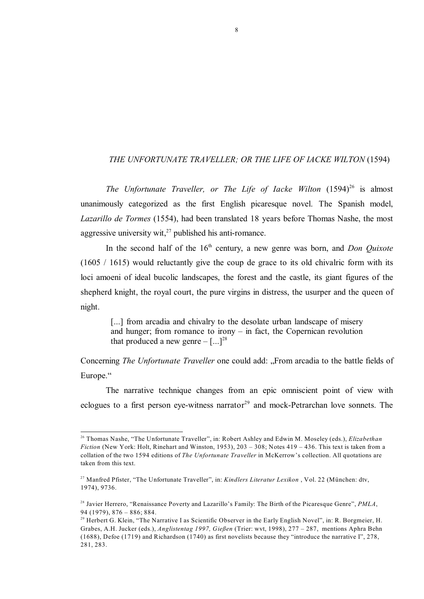## *THE UNFORTUNATE TRAVELLER; OR THE LIFE OF IACKE WILTON* (1594)

*The Unfortunate Traveller, or The Life of Iacke Wilton* (1594)<sup>26</sup> is almost unanimously categorized as the first English picaresque novel. The Spanish model, *Lazarillo de Tormes* (1554), had been translated 18 years before Thomas Nashe, the most aggressive university wit.<sup>27</sup> published his anti-romance.

In the second half of the 16<sup>th</sup> century, a new genre was born, and *Don Quixote* (1605 / 1615) would reluctantly give the coup de grace to its old chivalric form with its loci amoeni of ideal bucolic landscapes, the forest and the castle, its giant figures of the shepherd knight, the royal court, the pure virgins in distress, the usurper and the queen of night.

[...] from arcadia and chivalry to the desolate urban landscape of misery and hunger; from romance to irony  $-$  in fact, the Copernican revolution that produced a new genre  $-[...]^{28}$ 

Concerning *The Unfortunate Traveller* one could add: "From arcadia to the battle fields of Europe."

The narrative technique changes from an epic omniscient point of view with eclogues to a first person eye-witness narrator<sup>29</sup> and mock-Petrarchan love sonnets. The

<sup>&</sup>lt;sup>26</sup> Thomas Nashe, "The Unfortunate Traveller", in: Robert Ashley and Edwin M. Moseley (eds.), *Elizabethan Fiction* (New York: Holt, Rinehart and Winston, 1953), 203 – 308; Notes 419 – 436. This text is taken from a collation of the two 1594 editions of *The Unfortunate Traveller* in McKerrow's collection. All quotations are taken from this text.

<sup>&</sup>lt;sup>27</sup> Manfred Pfister, "The Unfortunate Traveller", in: *Kindlers Literatur Lexikon*, Vol. 22 (München: dtv, 1974), 9736.

<sup>&</sup>lt;sup>28</sup> Javier Herrero, "Renaissance Poverty and Lazarillo's Family: The Birth of the Picaresque Genre", *PMLA*, 94 (1979), 876 – 886; 884.

<sup>&</sup>lt;sup>29</sup> Herbert G. Klein, "The Narrative I as Scientific Observer in the Early English Novel", in: R. Borgmeier, H. Grabes, A.H. Jucker (eds.), *Anglistentag 1997, Gießen* (Trier: wvt, 1998), 277 – 287, mentions Aphra Behn (1688), Defoe (1719) and Richardson (1740) as first novelists because they "introduce the narrative I", 278, 281, 283.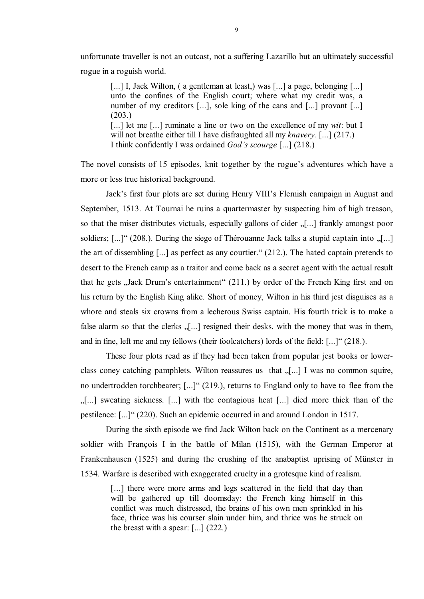unfortunate traveller is not an outcast, not a suffering Lazarillo but an ultimately successful rogue in a roguish world.

[...] I, Jack Wilton, (a gentleman at least,) was [...] a page, belonging [...] unto the confines of the English court; where what my credit was, a number of my creditors [...], sole king of the cans and [...] provant [...] (203.) [...] let me [...] ruminate a line or two on the excellence of my *wit*: but I will not breathe either till I have disfraughted all my *knavery.* [...] (217.) I think confidently I was ordained *God's scourge* [...] (218.)

The novel consists of 15 episodes, knit together by the rogue's adventures which have a more or less true historical background.

Jack's first four plots are set during Henry VIII's Flemish campaign in August and September, 1513. At Tournai he ruins a quartermaster by suspecting him of high treason, so that the miser distributes victuals, especially gallons of cider  $\lbrack$ ...] frankly amongst poor soldiers;  $[\dots]$ " (208.). During the siege of Thérouanne Jack talks a stupid captain into  $[\dots]$ the art of dissembling [...] as perfect as any courtier." (212.). The hated captain pretends to desert to the French camp as a traitor and come back as a secret agent with the actual result that he gets "Jack Drum's entertainment" (211.) by order of the French King first and on his return by the English King alike. Short of money, Wilton in his third jest disguises as a whore and steals six crowns from a lecherous Swiss captain. His fourth trick is to make a false alarm so that the clerks  $\sqrt{...}$  resigned their desks, with the money that was in them, and in fine, left me and my fellows (their foolcatchers) lords of the field: [...]" (218.).

These four plots read as if they had been taken from popular jest books or lowerclass coney catching pamphlets. Wilton reassures us that  $\lceil \ldots \rceil$  I was no common squire, no undertrodden torchbearer; [...]" (219.), returns to England only to have to flee from the "[...] sweating sickness. [...] with the contagious heat [...] died more thick than of the pestilence: [...]" (220). Such an epidemic occurred in and around London in 1517.

During the sixth episode we find Jack Wilton back on the Continent as a mercenary soldier with François I in the battle of Milan (1515), with the German Emperor at Frankenhausen (1525) and during the crushing of the anabaptist uprising of Münster in 1534. Warfare is described with exaggerated cruelty in a grotesque kind of realism.

[...] there were more arms and legs scattered in the field that day than will be gathered up till doomsday: the French king himself in this conflict was much distressed, the brains of his own men sprinkled in his face, thrice was his courser slain under him, and thrice was he struck on the breast with a spear: [...] (222.)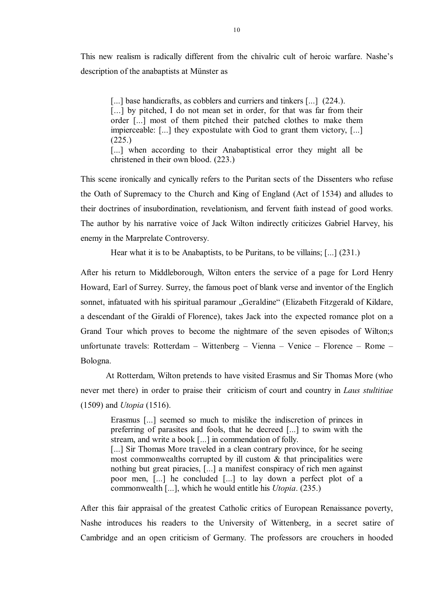This new realism is radically different from the chivalric cult of heroic warfare. Nashe's description of the anabaptists at Münster as

[...] base handicrafts, as cobblers and curriers and tinkers [...] (224.). [...] by pitched, I do not mean set in order, for that was far from their order [...] most of them pitched their patched clothes to make them impierceable: [...] they expostulate with God to grant them victory, [...] (225.)

[...] when according to their Anabaptistical error they might all be christened in their own blood. (223.)

This scene ironically and cynically refers to the Puritan sects of the Dissenters who refuse the Oath of Supremacy to the Church and King of England (Act of 1534) and alludes to their doctrines of insubordination, revelationism, and fervent faith instead of good works. The author by his narrative voice of Jack Wilton indirectly criticizes Gabriel Harvey, his enemy in the Marprelate Controversy.

Hear what it is to be Anabaptists, to be Puritans, to be villains; [...] (231.)

After his return to Middleborough, Wilton enters the service of a page for Lord Henry Howard, Earl of Surrey. Surrey, the famous poet of blank verse and inventor of the Englich sonnet, infatuated with his spiritual paramour "Geraldine" (Elizabeth Fitzgerald of Kildare, a descendant of the Giraldi of Florence), takes Jack into the expected romance plot on a Grand Tour which proves to become the nightmare of the seven episodes of Wilton;s unfortunate travels: Rotterdam – Wittenberg – Vienna – Venice – Florence – Rome – Bologna.

At Rotterdam, Wilton pretends to have visited Erasmus and Sir Thomas More (who never met there) in order to praise their criticism of court and country in *Laus stultitiae* (1509) and *Utopia* (1516).

Erasmus [...] seemed so much to mislike the indiscretion of princes in preferring of parasites and fools, that he decreed [...] to swim with the stream, and write a book [...] in commendation of folly. [...] Sir Thomas More traveled in a clean contrary province, for he seeing most commonwealths corrupted by ill custom  $\&$  that principalities were nothing but great piracies, [...] a manifest conspiracy of rich men against poor men, [...] he concluded [...] to lay down a perfect plot of a commonwealth [...], which he would entitle his *Utopia*. (235.)

After this fair appraisal of the greatest Catholic critics of European Renaissance poverty, Nashe introduces his readers to the University of Wittenberg, in a secret satire of Cambridge and an open criticism of Germany. The professors are crouchers in hooded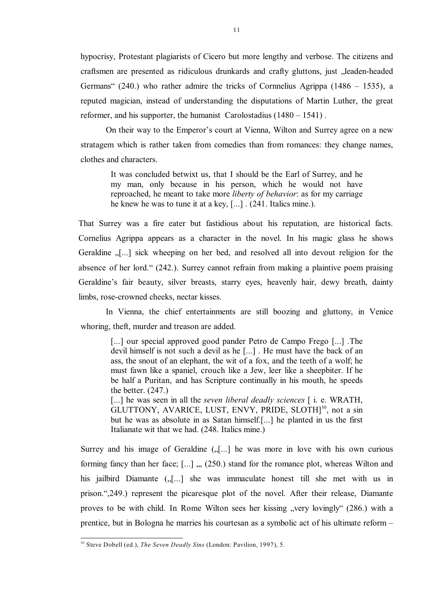hypocrisy, Protestant plagiarists of Cicero but more lengthy and verbose. The citizens and craftsmen are presented as ridiculous drunkards and crafty gluttons, just "leaden-headed Germans" (240.) who rather admire the tricks of Cornnelius Agrippa (1486 – 1535), a reputed magician, instead of understanding the disputations of Martin Luther, the great reformer, and his supporter, the humanist Carolostadius (1480 – 1541) .

On their way to the Emperor's court at Vienna, Wilton and Surrey agree on a new stratagem which is rather taken from comedies than from romances: they change names, clothes and characters.

It was concluded betwixt us, that I should be the Earl of Surrey, and he my man, only because in his person, which he would not have reproached, he meant to take more *liberty of behavior*: as for my carriage he knew he was to tune it at a key, [...] . (241. Italics mine.).

That Surrey was a fire eater but fastidious about his reputation, are historical facts. Cornelius Agrippa appears as a character in the novel. In his magic glass he shows Geraldine  $\lceil \cdot \rceil$  sick wheeping on her bed, and resolved all into devout religion for the absence of her lord." (242.). Surrey cannot refrain from making a plaintive poem praising Geraldine's fair beauty, silver breasts, starry eyes, heavenly hair, dewy breath, dainty limbs, rose-crowned cheeks, nectar kisses.

In Vienna, the chief entertainments are still boozing and gluttony, in Venice whoring, theft, murder and treason are added.

[...] our special approved good pander Petro de Campo Frego [...] The devil himself is not such a devil as he [...] . He must have the back of an ass, the snout of an elephant, the wit of a fox, and the teeth of a wolf; he must fawn like a spaniel, crouch like a Jew, leer like a sheepbiter. If he be half a Puritan, and has Scripture continually in his mouth, he speeds the better. (247.)

[...] he was seen in all the *seven liberal deadly sciences* [ i. e. WRATH, GLUTTONY, AVARICE, LUST, ENVY, PRIDE, SLOTH<sup>30</sup>, not a sin but he was as absolute in as Satan himself.[...] he planted in us the first Italianate wit that we had. (248. Italics mine.)

Surrey and his image of Geraldine  $\left( \int_{\mathbb{R}} \right)$  he was more in love with his own curious forming fancy than her face;  $[...]$ ,  $(250)$  stand for the romance plot, whereas Wilton and his jailbird Diamante ("[...] she was immaculate honest till she met with us in prison.",249.) represent the picaresque plot of the novel. After their release, Diamante proves to be with child. In Rome Wilton sees her kissing "very lovingly" (286.) with a prentice, but in Bologna he marries his courtesan as a symbolic act of his ultimate reform –

<sup>&</sup>lt;sup>30</sup> Steve Dobell (ed.), *The Seven Deadly Sins* (London: Pavilion, 1997), 5.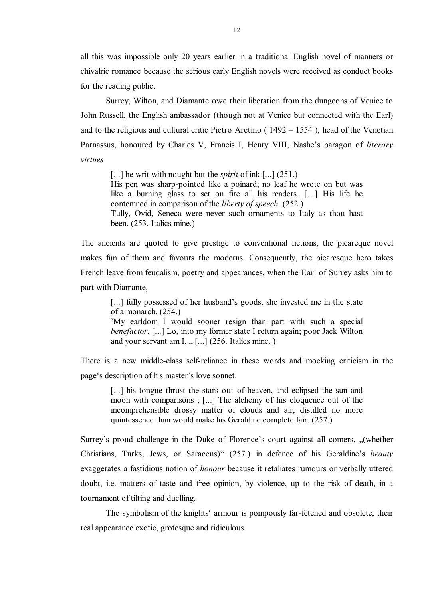all this was impossible only 20 years earlier in a traditional English novel of manners or chivalric romance because the serious early English novels were received as conduct books for the reading public.

Surrey, Wilton, and Diamante owe their liberation from the dungeons of Venice to John Russell, the English ambassador (though not at Venice but connected with the Earl) and to the religious and cultural critic Pietro Aretino ( 1492 – 1554 ), head of the Venetian Parnassus, honoured by Charles V, Francis I, Henry VIII, Nashe's paragon of *literary virtues*

[...] he writ with nought but the *spirit* of ink [...] (251.) His pen was sharp-pointed like a poinard; no leaf he wrote on but was like a burning glass to set on fire all his readers. [...] His life he contemned in comparison of the *liberty of speech*. (252.) Tully, Ovid, Seneca were never such ornaments to Italy as thou hast been. (253. Italics mine.)

The ancients are quoted to give prestige to conventional fictions, the picareque novel makes fun of them and favours the moderns. Consequently, the picaresque hero takes French leave from feudalism, poetry and appearances, when the Earl of Surrey asks him to part with Diamante,

[...] fully possessed of her husband's goods, she invested me in the state of a monarch. (254.) ²My earldom I would sooner resign than part with such a special *benefactor*. [...] Lo, into my former state I return again; poor Jack Wilton and your servant am I,  $, \ldots$  (256. Italics mine.)

There is a new middle-class self-reliance in these words and mocking criticism in the page's description of his master's love sonnet.

[...] his tongue thrust the stars out of heaven, and eclipsed the sun and moon with comparisons ; [...] The alchemy of his eloquence out of the incomprehensible drossy matter of clouds and air, distilled no more quintessence than would make his Geraldine complete fair. (257.)

Surrey's proud challenge in the Duke of Florence's court against all comers, "(whether Christians, Turks, Jews, or Saracens)" (257.) in defence of his Geraldine's *beauty* exaggerates a fastidious notion of *honour* because it retaliates rumours or verbally uttered doubt, i.e. matters of taste and free opinion, by violence, up to the risk of death, in a tournament of tilting and duelling.

The symbolism of the knights' armour is pompously far-fetched and obsolete, their real appearance exotic, grotesque and ridiculous.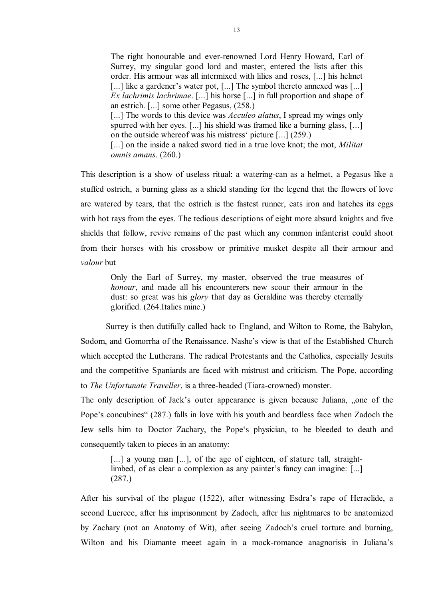The right honourable and ever-renowned Lord Henry Howard, Earl of Surrey, my singular good lord and master, entered the lists after this order. His armour was all intermixed with lilies and roses, [...] his helmet [...] like a gardener's water pot, [...] The symbol thereto annexed was [...] *Ex lachrimis lachrimae*. [...] his horse [...] in full proportion and shape of an estrich. [...] some other Pegasus, (258.) [...] The words to this device was *Acculeo alatus*, I spread my wings only spurred with her eyes. [...] his shield was framed like a burning glass, [...] on the outside whereof was his mistress' picture [...] (259.) [...] on the inside a naked sword tied in a true love knot; the mot, *Militat omnis amans*. (260.)

This description is a show of useless ritual: a watering-can as a helmet, a Pegasus like a stuffed ostrich, a burning glass as a shield standing for the legend that the flowers of love are watered by tears, that the ostrich is the fastest runner, eats iron and hatches its eggs with hot rays from the eyes. The tedious descriptions of eight more absurd knights and five shields that follow, revive remains of the past which any common infanterist could shoot from their horses with his crossbow or primitive musket despite all their armour and *valour* but

Only the Earl of Surrey, my master, observed the true measures of *honour*, and made all his encounterers new scour their armour in the dust: so great was his *glory* that day as Geraldine was thereby eternally glorified. (264.Italics mine.)

Surrey is then dutifully called back to England, and Wilton to Rome, the Babylon, Sodom, and Gomorrha of the Renaissance. Nashe's view is that of the Established Church which accepted the Lutherans. The radical Protestants and the Catholics, especially Jesuits and the competitive Spaniards are faced with mistrust and criticism. The Pope, according to *The Unfortunate Traveller*, is a three-headed (Tiara-crowned) monster.

The only description of Jack's outer appearance is given because Juliana, "one of the Pope's concubines" (287.) falls in love with his youth and beardless face when Zadoch the Jew sells him to Doctor Zachary, the Pope's physician, to be bleeded to death and consequently taken to pieces in an anatomy:

[...] a young man [...], of the age of eighteen, of stature tall, straightlimbed, of as clear a complexion as any painter's fancy can imagine: [...] (287.)

After his survival of the plague (1522), after witnessing Esdra's rape of Heraclide, a second Lucrece, after his imprisonment by Zadoch, after his nightmares to be anatomized by Zachary (not an Anatomy of Wit), after seeing Zadoch's cruel torture and burning, Wilton and his Diamante meeet again in a mock-romance anagnorisis in Juliana's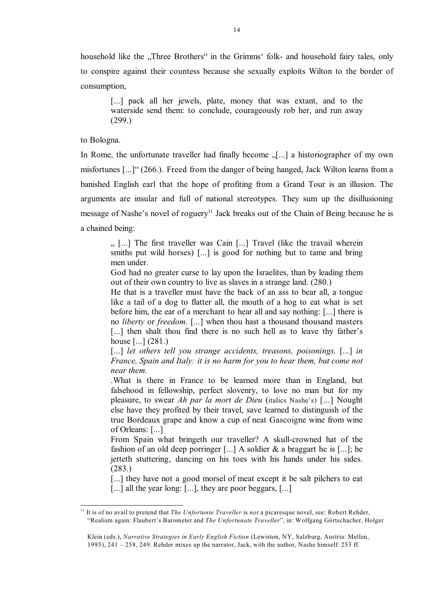household like the "Three Brothers" in the Grimms' folk- and household fairy tales, only to conspire against their countess because she sexually exploits Wilton to the border of consumption,

[...] pack all her jewels, plate, money that was extant, and to the waterside send them: to conclude, courageously rob her, and run away (299.)

to Bologna.

In Rome, the unfortunate traveller had finally become  $\sqrt{...}$  a historiographer of my own misfortunes [...]" (266.). Freed from the danger of being hanged, Jack Wilton learns from a banished English earl that the hope of profiting from a Grand Tour is an illusion. The arguments are insular and full of national stereotypes. They sum up the disillusioning message of Nashe's novel of roguery<sup>31</sup> Jack breaks out of the Chain of Being because he is a chained being:

" [...] The first traveller was Cain [...] Travel (like the travail wherein smiths put wild horses) [...] is good for nothing but to tame and bring men under.

God had no greater curse to lay upon the Israelites, than by leading them out of their own country to live as slaves in a strange land. (280.)

He that is a traveller must have the back of an ass to bear all, a tongue like a tail of a dog to flatter all, the mouth of a hog to eat what is set before him, the ear of a merchant to hear all and say nothing: [...] there is no *liberty* or *freedom*. [...] when thou hast a thousand thousand masters [...] then shalt thou find there is no such hell as to leave thy father's house [...] (281.)

[...] *let others tell you strange accidents, treasons, poisonings,* [...] *in France, Spain and Italy: it is no harm for you to hear them, but come not near them.*

.What is there in France to be learned more than in England, but falsehood in fellowship, perfect slovenry, to love no man but for my pleasure, to swear *Ah par la mort de Dieu* (italics Nashe's) [...] Nought else have they profited by their travel, save learned to distinguish of the true Bordeaux grape and know a cup of neat Gascoigne wine from wine of Orleans: [...]

From Spain what bringeth our traveller? A skull-crowned hat of the fashion of an old deep porringer [...] A soldier  $\&$  a braggart he is [...]; he jetteth stuttering, dancing on his toes with his hands under his sides. (283.)

[...] they have not a good morsel of meat except it be salt pilchers to eat [...] all the year long: [...], they are poor beggars, [...]

It is of no avail to pretend that *The Unfortunte Traveller* is *not* a picaresque novel, see: Robert Rehder, 31 "Realism again: Flaubert's Barometer and *The Unfortunate Traveller*", in: Wolfgang Görtschacher, Holger

Klein (eds.), *Narrative Strategies in Early English Fiction* (Lewiston, NY, Salzburg, Austria: Mellen, 1995), 241 – 258, 249. Rehder mixes up the narrator, Jack, with the author, Nashe himself: 253 ff.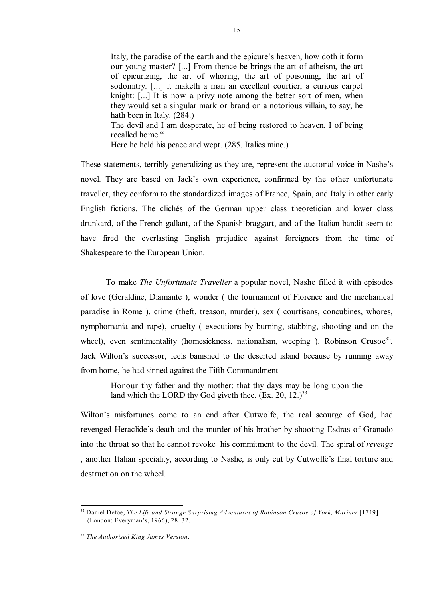Italy, the paradise of the earth and the epicure's heaven, how doth it form our young master? [...] From thence be brings the art of atheism, the art of epicurizing, the art of whoring, the art of poisoning, the art of sodomitry. [...] it maketh a man an excellent courtier, a curious carpet knight: [...] It is now a privy note among the better sort of men, when they would set a singular mark or brand on a notorious villain, to say, he hath been in Italy. (284.) The devil and I am desperate, he of being restored to heaven, I of being recalled home." Here he held his peace and wept. (285. Italics mine.)

These statements, terribly generalizing as they are, represent the auctorial voice in Nashe's novel. They are based on Jack's own experience, confirmed by the other unfortunate traveller, they conform to the standardized images of France, Spain, and Italy in other early English fictions. The clichés of the German upper class theoretician and lower class drunkard, of the French gallant, of the Spanish braggart, and of the Italian bandit seem to have fired the everlasting English prejudice against foreigners from the time of Shakespeare to the European Union.

To make *The Unfortunate Traveller* a popular novel, Nashe filled it with episodes of love (Geraldine, Diamante ), wonder ( the tournament of Florence and the mechanical paradise in Rome ), crime (theft, treason, murder), sex ( courtisans, concubines, whores, nymphomania and rape), cruelty ( executions by burning, stabbing, shooting and on the wheel), even sentimentality (homesickness, nationalism, weeping ). Robinson Crusoe<sup>32</sup>, Jack Wilton's successor, feels banished to the deserted island because by running away from home, he had sinned against the Fifth Commandment

Honour thy father and thy mother: that thy days may be long upon the land which the LORD thy God giveth thee.  $(Ex, 20, 12.)^{33}$ 

Wilton's misfortunes come to an end after Cutwolfe, the real scourge of God, had revenged Heraclide's death and the murder of his brother by shooting Esdras of Granado into the throat so that he cannot revoke his commitment to the devil. The spiral of *revenge* , another Italian speciality, according to Nashe, is only cut by Cutwolfe's final torture and destruction on the wheel

<sup>&</sup>lt;sup>32</sup> Daniel Defoe, *The Life and Strange Surprising Adventures of Robinson Crusoe of York, Mariner* [1719] (London: Everyman's, 1966), 28. 32.

*The Authorised King James Version*. 33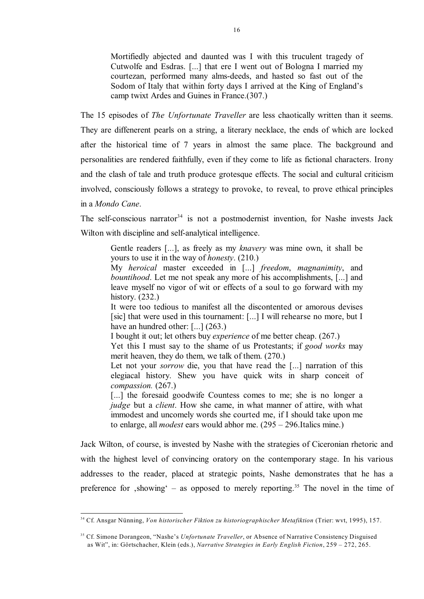Mortifiedly abjected and daunted was I with this truculent tragedy of Cutwolfe and Esdras. [...] that ere I went out of Bologna I married my courtezan, performed many alms-deeds, and hasted so fast out of the Sodom of Italy that within forty days I arrived at the King of England's camp twixt Ardes and Guines in France.(307.)

The 15 episodes of *The Unfortunate Traveller* are less chaotically written than it seems.

They are diffenerent pearls on a string, a literary necklace, the ends of which are locked after the historical time of 7 years in almost the same place. The background and personalities are rendered faithfully, even if they come to life as fictional characters. Irony and the clash of tale and truth produce grotesque effects. The social and cultural criticism involved, consciously follows a strategy to provoke, to reveal, to prove ethical principles in a *Mondo Cane*.

The self-conscious narrator<sup>34</sup> is not a postmodernist invention, for Nashe invests Jack Wilton with discipline and self-analytical intelligence.

Gentle readers [...], as freely as my *knavery* was mine own, it shall be yours to use it in the way of *honesty*. (210.)

My *heroical* master exceeded in [...] *freedom*, *magnanimity*, and *bountihood*. Let me not speak any more of his accomplishments, [...] and leave myself no vigor of wit or effects of a soul to go forward with my history. (232.)

It were too tedious to manifest all the discontented or amorous devises [sic] that were used in this tournament: [...] I will rehearse no more, but I have an hundred other: [...] (263.)

I bought it out; let others buy *experience* of me better cheap. (267.)

Yet this I must say to the shame of us Protestants; if *good works* may merit heaven, they do them, we talk of them. (270.)

Let not your *sorrow* die, you that have read the [...] narration of this elegiacal history. Shew you have quick wits in sharp conceit of *compassion.* (267.)

[...] the foresaid goodwife Countess comes to me; she is no longer a *judge* but a *client*. How she came, in what manner of attire, with what immodest and uncomely words she courted me, if I should take upon me to enlarge, all *modest* ears would abhor me. (295 – 296.Italics mine.)

Jack Wilton, of course, is invested by Nashe with the strategies of Ciceronian rhetoric and with the highest level of convincing oratory on the contemporary stage. In his various addresses to the reader, placed at strategic points, Nashe demonstrates that he has a preference for  $\Omega$ showing' – as opposed to merely reporting.<sup>35</sup> The novel in the time of

<sup>&</sup>lt;sup>34</sup> Cf. Ansgar Nünning, *Von historischer Fiktion zu historiographischer Metafiktion* (Trier: wvt, 1995), 157.

<sup>&</sup>lt;sup>35</sup> Cf. Simone Dorangeon, "Nashe's *Unfortunate Traveller*, or Absence of Narrative Consistency Disguised as Wit", in: Görtschacher, Klein (eds.), *Narrative Strategies in Early English Fiction*, 259 – 272, 265.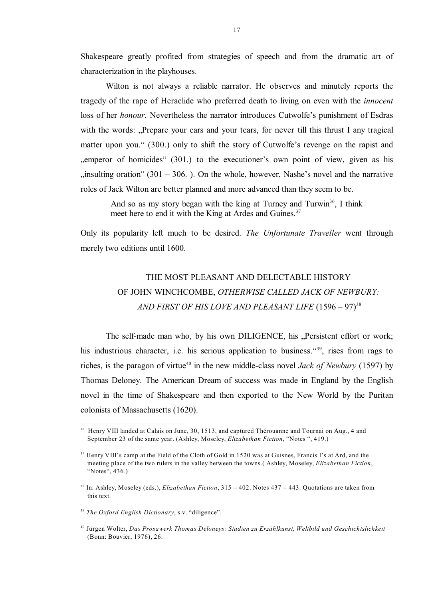Shakespeare greatly profited from strategies of speech and from the dramatic art of characterization in the playhouses.

Wilton is not always a reliable narrator. He observes and minutely reports the tragedy of the rape of Heraclide who preferred death to living on even with the *innocent* loss of her *honour*. Nevertheless the narrator introduces Cutwolfe's punishment of Esdras with the words: "Prepare your ears and your tears, for never till this thrust I any tragical matter upon you." (300.) only to shift the story of Cutwolfe's revenge on the rapist and "emperor of homicides" (301.) to the executioner's own point of view, given as his  $i$ , insulting oration" (301 – 306.). On the whole, however, Nashe's novel and the narrative roles of Jack Wilton are better planned and more advanced than they seem to be.

And so as my story began with the king at Turney and Turwin<sup>36</sup>, I think meet here to end it with the King at Ardes and Guines.<sup>37</sup>

Only its popularity left much to be desired. *The Unfortunate Traveller* went through merely two editions until 1600.

## THE MOST PLEASANT AND DELECTABLE HISTORY OF JOHN WINCHCOMBE, *OTHERWISE CALLED JACK OF NEWBURY:*  AND FIRST OF HIS LOVE AND PLEASANT LIFE (1596 – 97)<sup>38</sup>

The self-made man who, by his own DILIGENCE, his "Persistent effort or work; his industrious character, i.e. his serious application to business.  $49^{\circ}$ , rises from rags to riches, is the paragon of virtue<sup>40</sup> in the new middle-class novel *Jack of Newbury* (1597) by Thomas Deloney. The American Dream of success was made in England by the English novel in the time of Shakespeare and then exported to the New World by the Puritan colonists of Massachusetts (1620).

<sup>&</sup>lt;sup>36</sup> Henry VIII landed at Calais on June, 30, 1513, and captured Thérouanne and Tournai on Aug., 4 and September 23 of the same year. (Ashley, Moseley, *Elizabethan Fiction*, "Notes ", 419.)

<sup>&</sup>lt;sup>37</sup> Henry VIII's camp at the Field of the Cloth of Gold in 1520 was at Guisnes, Francis I's at Ard, and the meeting place of the two rulers in the valley between the towns.( Ashley, Moseley, *Elizabethan Fiction*, "Notes", 436.)

<sup>&</sup>lt;sup>38</sup> In: Ashley, Moseley (eds.), *Elizabethan Fiction*, 315 – 402. Notes 437 – 443. Quotations are taken from this text.

<sup>&</sup>lt;sup>39</sup> The Oxford English Dictionary, s.v. "diligence".

Jürgen Wolter, *Das Prosawerk Thomas Deloneys: Studien zu Erzählkunst, Weltbild und Geschichtslichkeit* <sup>40</sup> (Bonn: Bouvier, 1976), 26.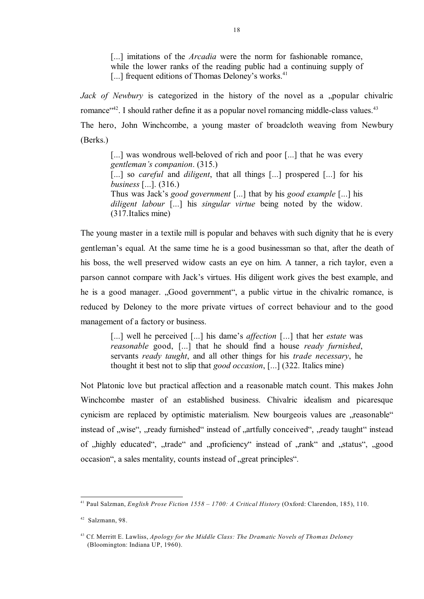[...] imitations of the *Arcadia* were the norm for fashionable romance, while the lower ranks of the reading public had a continuing supply of [...] frequent editions of Thomas Deloney's works.<sup>41</sup>

*Jack of Newbury* is categorized in the history of the novel as a "popular chivalric romance $^{42}$ . I should rather define it as a popular novel romancing middle-class values.<sup>43</sup> The hero, John Winchcombe, a young master of broadcloth weaving from Newbury (Berks.)

[...] was wondrous well-beloved of rich and poor [...] that he was every *gentleman's companion*. (315.) [...] so *careful* and *diligent*, that all things [...] prospered [...] for his *business* [...]. (316.) Thus was Jack's *good government* [...] that by his *good example* [...] his *diligent labour* [...] his *singular virtue* being noted by the widow. (317.Italics mine)

The young master in a textile mill is popular and behaves with such dignity that he is every gentleman's equal. At the same time he is a good businessman so that, after the death of his boss, the well preserved widow casts an eye on him. A tanner, a rich taylor, even a parson cannot compare with Jack's virtues. His diligent work gives the best example, and he is a good manager. "Good government", a public virtue in the chivalric romance, is reduced by Deloney to the more private virtues of correct behaviour and to the good management of a factory or business.

[...] well he perceived [...] his dame's *affection* [...] that her *estate* was *reasonable* good, [...] that he should find a house *ready furnished*, servants *ready taught*, and all other things for his *trade necessary*, he thought it best not to slip that *good occasion*, [...] (322. Italics mine)

Not Platonic love but practical affection and a reasonable match count. This makes John Winchcombe master of an established business. Chivalric idealism and picaresque cynicism are replaced by optimistic materialism. New bourgeois values are "reasonable" instead of "wise", "ready furnished" instead of "artfully conceived", "ready taught" instead of "highly educated", "trade" and "proficiency" instead of "rank" and "status", "good occasion", a sales mentality, counts instead of "great principles".

Paul Salzman, *English Prose Fiction 1558 – 1700: A Critical History* (Oxford: Clarendon, 185), 110. <sup>41</sup>

 $42$  Salzmann, 98.

Cf. Merritt E. Lawliss, *Apology for the Middle Class: The Dramatic Novels of Thomas Deloney* <sup>43</sup> (Bloomington: Indiana UP, 1960).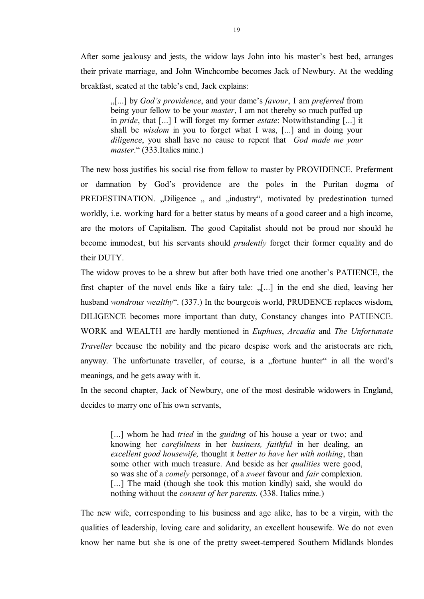After some jealousy and jests, the widow lays John into his master's best bed, arranges their private marriage, and John Winchcombe becomes Jack of Newbury. At the wedding breakfast, seated at the table's end, Jack explains:

"[...] by *God's providence*, and your dame's *favour*, I am *preferred* from being your fellow to be your *master*, I am not thereby so much puffed up in *pride*, that [...] I will forget my former *estate*: Notwithstanding [...] it shall be *wisdom* in you to forget what I was, [...] and in doing your *diligence*, you shall have no cause to repent that *God made me your master*." (333.Italics mine.)

The new boss justifies his social rise from fellow to master by PROVIDENCE. Preferment or damnation by God's providence are the poles in the Puritan dogma of PREDESTINATION. "Diligence " and "industry", motivated by predestination turned worldly, i.e. working hard for a better status by means of a good career and a high income, are the motors of Capitalism. The good Capitalist should not be proud nor should he become immodest, but his servants should *prudently* forget their former equality and do their DUTY.

The widow proves to be a shrew but after both have tried one another's PATIENCE, the first chapter of the novel ends like a fairy tale:  $\sqrt{...}$  in the end she died, leaving her husband *wondrous wealthy*". (337.) In the bourgeois world, PRUDENCE replaces wisdom, DILIGENCE becomes more important than duty, Constancy changes into PATIENCE. WORK and WEALTH are hardly mentioned in *Euphues*, *Arcadia* and *The Unfortunate Traveller* because the nobility and the picaro despise work and the aristocrats are rich, anyway. The unfortunate traveller, of course, is a "fortune hunter" in all the word's meanings, and he gets away with it.

In the second chapter, Jack of Newbury, one of the most desirable widowers in England, decides to marry one of his own servants,

[...] whom he had *tried* in the *guiding* of his house a year or two; and knowing her *carefulness* in her *business, faithful* in her dealing, an *excellent good housewife,* thought it *better to have her with nothing*, than some other with much treasure. And beside as her *qualities* were good, so was she of a *comely* personage, of a *sweet* favour and *fair* complexion. [...] The maid (though she took this motion kindly) said, she would do nothing without the *consent of her parents*. (338. Italics mine.)

The new wife, corresponding to his business and age alike, has to be a virgin, with the qualities of leadership, loving care and solidarity, an excellent housewife. We do not even know her name but she is one of the pretty sweet-tempered Southern Midlands blondes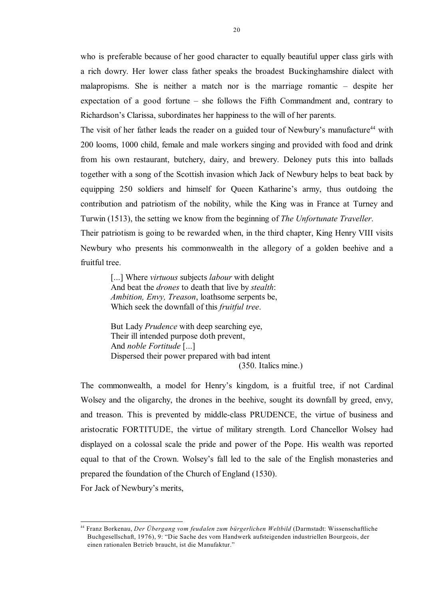who is preferable because of her good character to equally beautiful upper class girls with a rich dowry. Her lower class father speaks the broadest Buckinghamshire dialect with malapropisms. She is neither a match nor is the marriage romantic – despite her expectation of a good fortune – she follows the Fifth Commandment and, contrary to Richardson's Clarissa, subordinates her happiness to the will of her parents.

The visit of her father leads the reader on a guided tour of Newbury's manufacture<sup>44</sup> with 200 looms, 1000 child, female and male workers singing and provided with food and drink from his own restaurant, butchery, dairy, and brewery. Deloney puts this into ballads together with a song of the Scottish invasion which Jack of Newbury helps to beat back by equipping 250 soldiers and himself for Queen Katharine's army, thus outdoing the contribution and patriotism of the nobility, while the King was in France at Turney and Turwin (1513), the setting we know from the beginning of *The Unfortunate Traveller*.

Their patriotism is going to be rewarded when, in the third chapter, King Henry VIII visits Newbury who presents his commonwealth in the allegory of a golden beehive and a fruitful tree.

[...] Where *virtuous* subjects *labour* with delight And beat the *drones* to death that live by *stealth*: *Ambition, Envy, Treason*, loathsome serpents be, Which seek the downfall of this *fruitful tree*.

But Lady *Prudence* with deep searching eye, Their ill intended purpose doth prevent, And *noble Fortitude* [...] Dispersed their power prepared with bad intent (350. Italics mine.)

The commonwealth, a model for Henry's kingdom, is a fruitful tree, if not Cardinal Wolsey and the oligarchy, the drones in the beehive, sought its downfall by greed, envy, and treason. This is prevented by middle-class PRUDENCE, the virtue of business and aristocratic FORTITUDE, the virtue of military strength. Lord Chancellor Wolsey had displayed on a colossal scale the pride and power of the Pope. His wealth was reported equal to that of the Crown. Wolsey's fall led to the sale of the English monasteries and prepared the foundation of the Church of England (1530).

For Jack of Newbury's merits,

Franz Borkenau, *Der Übergang vom feudalen zum bürgerlichen Weltbild* (Darmstadt: Wissenschaftliche <sup>44</sup> Buchgesellschaft, 1976), 9: "Die Sache des vom Handwerk aufsteigenden industriellen Bourgeois, der einen rationalen Betrieb braucht, ist die Manufaktur."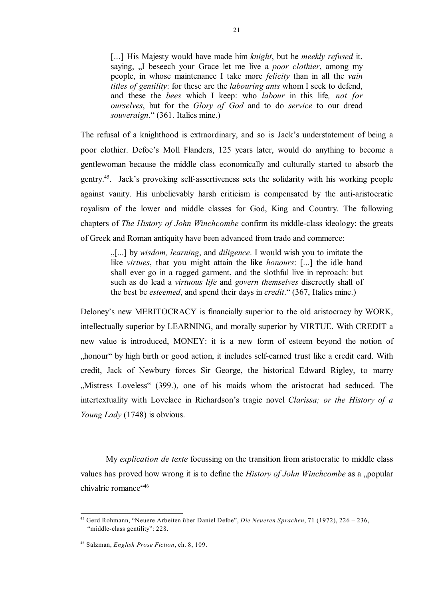[...] His Majesty would have made him *knight*, but he *meekly refused* it, saying, "I beseech your Grace let me live a *poor clothier*, among my people, in whose maintenance I take more *felicity* than in all the *vain titles of gentility*: for these are the *labouring ants* whom I seek to defend, and these the *bees* which I keep: who *labour* in this life*, not for ourselves*, but for the *Glory of God* and to do *service* to our dread *souveraign*." (361. Italics mine.)

The refusal of a knighthood is extraordinary, and so is Jack's understatement of being a poor clothier. Defoe's Moll Flanders, 125 years later, would do anything to become a gentlewoman because the middle class economically and culturally started to absorb the gentry.<sup>45</sup>. Jack's provoking self-assertiveness sets the solidarity with his working people against vanity. His unbelievably harsh criticism is compensated by the anti-aristocratic royalism of the lower and middle classes for God, King and Country. The following chapters of *The History of John Winchcombe* confirm its middle-class ideology: the greats of Greek and Roman antiquity have been advanced from trade and commerce:

"[...] by *wisdom, learning*, and *diligence*. I would wish you to imitate the like *virtues*, that you might attain the like *honours*: [...] the idle hand shall ever go in a ragged garment, and the slothful live in reproach: but such as do lead a *virtuous life* and *govern themselves* discreetly shall of the best be *esteemed*, and spend their days in *credit*." (367, Italics mine.)

Deloney's new MERITOCRACY is financially superior to the old aristocracy by WORK, intellectually superior by LEARNING, and morally superior by VIRTUE. With CREDIT a new value is introduced, MONEY: it is a new form of esteem beyond the notion of honour by high birth or good action, it includes self-earned trust like a credit card. With credit, Jack of Newbury forces Sir George, the historical Edward Rigley, to marry "Mistress Loveless" (399.), one of his maids whom the aristocrat had seduced. The intertextuality with Lovelace in Richardson's tragic novel *Clarissa; or the History of a Young Lady* (1748) is obvious.

My *explication de texte* focussing on the transition from aristocratic to middle class values has proved how wrong it is to define the *History of John Winchcombe* as a "popular chivalric romance<sup>"46</sup>

Gerd Rohmann, "Neuere Arbeiten über Daniel Defoe", *Die Neueren Sprachen*, 71 (1972), 226 – 236, 45 "middle-class gentility": 228.

Salzman, *English Prose Fiction*, ch. 8, 109. <sup>46</sup>